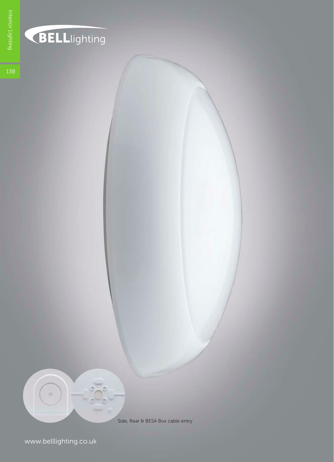

## BELLlighting

138

Side, Rear & BESA Box cable entry

www.belllighting.co.uk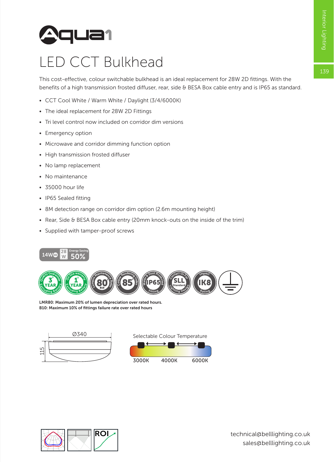139



### LED CCT Bulkhead

This cost-effective, colour switchable bulkhead is an ideal replacement for 28W 2D fittings. With the benefits of a high transmission frosted diffuser, rear, side & BESA Box cable entry and is IP65 as standard.

- CCT Cool White / Warm White / Daylight (3/4/6000K)
- The ideal replacement for 28W 2D Fittings
- Tri level control now included on corridor dim versions
- Emergency option
- Microwave and corridor dimming function option
- High transmission frosted diffuser
- No lamp replacement
- No maintenance
- 35000 hour life
- IP65 Sealed fitting
- 8M detection range on corridor dim option (2.6m mounting height)
- Rear, Side & BESA Box cable entry (20mm knock-outs on the inside of the trim)
- Supplied with tamper-proof screws





LMR80: Maximum 20% of lumen depreciation over rated hours. B10: Maximum 10% of fittings failure rate over rated hours



Selectable Colour Temperature



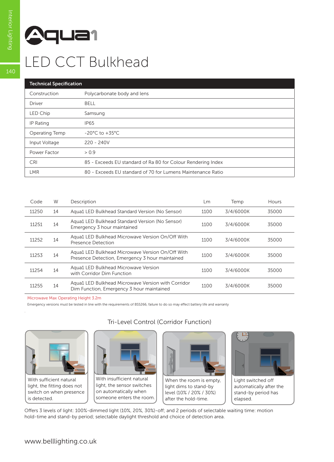# **Aqua1**

Interior Lighting

## LED CCT Bulkhead

| <b>Technical Specification</b> |                                                              |  |  |  |  |
|--------------------------------|--------------------------------------------------------------|--|--|--|--|
| Construction                   | Polycarbonate body and lens                                  |  |  |  |  |
| Driver                         | <b>BELL</b>                                                  |  |  |  |  |
| LED Chip                       | Samsung                                                      |  |  |  |  |
| IP Rating                      | <b>IP65</b>                                                  |  |  |  |  |
| Operating Temp                 | $-20^{\circ}$ C to $+35^{\circ}$ C                           |  |  |  |  |
| Input Voltage                  | $220 - 240V$                                                 |  |  |  |  |
| Power Factor                   | > 0.9                                                        |  |  |  |  |
| <b>CRI</b>                     | 85 - Exceeds EU standard of Ra 80 for Colour Rendering Index |  |  |  |  |
| <b>LMR</b>                     | 80 - Exceeds EU standard of 70 for Lumens Maintenance Ratio  |  |  |  |  |

| Code  | W  | Description                                                                                         | Lm   | Temp      | Hours |
|-------|----|-----------------------------------------------------------------------------------------------------|------|-----------|-------|
| 11250 | 14 | Aqua1 LED Bulkhead Standard Version (No Sensor)                                                     | 1100 | 3/4/6000K | 35000 |
| 11251 | 14 | Aqua1 LED Bulkhead Standard Version (No Sensor)<br>Emergency 3 hour maintained                      | 1100 | 3/4/6000K | 35000 |
| 11252 | 14 | Agua1 LED Bulkhead Microwave Version On/Off With<br>Presence Detection                              | 1100 | 3/4/6000K | 35000 |
| 11253 | 14 | Agua1 LED Bulkhead Microwave Version On/Off With<br>Presence Detection, Emergency 3 hour maintained | 1100 | 3/4/6000K | 35000 |
| 11254 | 14 | Aqua1 LED Bulkhead Microwave Version<br>with Corridor Dim Function                                  | 1100 | 3/4/6000K | 35000 |
| 11255 | 14 | Agua1 LED Bulkhead Microwave Version with Corridor<br>Dim Function, Emergency 3 hour maintained     | 1100 | 3/4/6000K | 35000 |

Microwave Max Operating Height 3.2m

Emergency versions must be tested in line with the requirements of BS5266, failure to do so may effect battery life and warranty



.

With sufficient natural light, the fitting does not switch on when presence is detected.

#### Tri-Level Control (Corridor Function)



With insufficient natural light, the sensor switches on automatically when someone enters the room.



When the room is empty, light dims to stand-by level (10% / 20% / 30%) after the hold-time.



Light switched off automatically after the stand-by period has elapsed.

Offers 3 levels of light: 100%-dimmed light (10%, 20%, 30%)-off; and 2 periods of selectable waiting time: motion hold-time and stand-by period; selectable daylight threshold and choice of detection area.